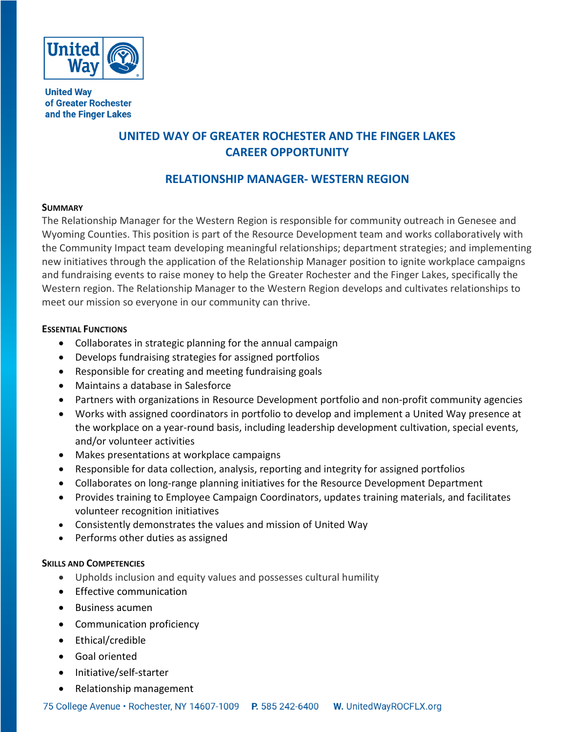

**United Way** of Greater Rochester and the Finger Lakes

# **UNITED WAY OF GREATER ROCHESTER AND THE FINGER LAKES CAREER OPPORTUNITY**

## **RELATIONSHIP MANAGER- WESTERN REGION**

## **SUMMARY**

The Relationship Manager for the Western Region is responsible for community outreach in Genesee and Wyoming Counties. This position is part of the Resource Development team and works collaboratively with the Community Impact team developing meaningful relationships; department strategies; and implementing new initiatives through the application of the Relationship Manager position to ignite workplace campaigns and fundraising events to raise money to help the Greater Rochester and the Finger Lakes, specifically the Western region. The Relationship Manager to the Western Region develops and cultivates relationships to meet our mission so everyone in our community can thrive.

### **ESSENTIAL FUNCTIONS**

- Collaborates in strategic planning for the annual campaign
- Develops fundraising strategies for assigned portfolios
- Responsible for creating and meeting fundraising goals
- Maintains a database in Salesforce
- Partners with organizations in Resource Development portfolio and non-profit community agencies
- Works with assigned coordinators in portfolio to develop and implement a United Way presence at the workplace on a year-round basis, including leadership development cultivation, special events, and/or volunteer activities
- Makes presentations at workplace campaigns
- Responsible for data collection, analysis, reporting and integrity for assigned portfolios
- Collaborates on long-range planning initiatives for the Resource Development Department
- Provides training to Employee Campaign Coordinators, updates training materials, and facilitates volunteer recognition initiatives
- Consistently demonstrates the values and mission of United Way
- Performs other duties as assigned

## **SKILLS AND COMPETENCIES**

- Upholds inclusion and equity values and possesses cultural humility
- Effective communication
- Business acumen
- Communication proficiency
- Ethical/credible
- Goal oriented
- Initiative/self-starter
- Relationship management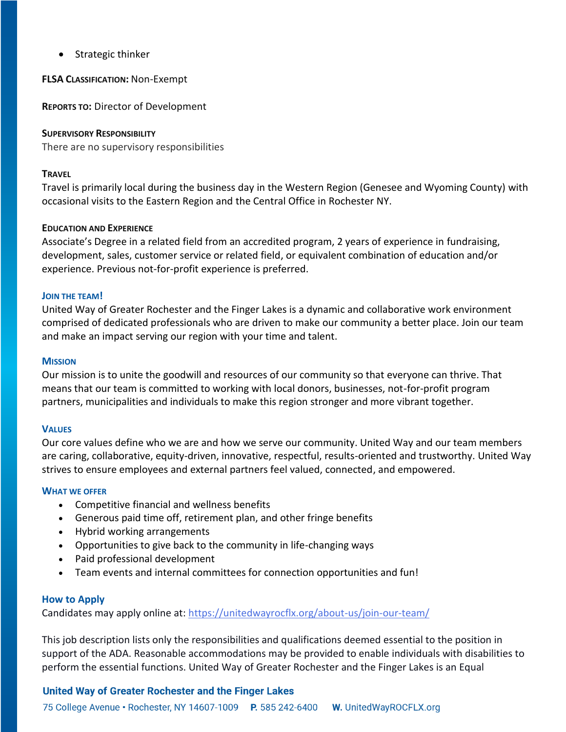• Strategic thinker

**FLSA CLASSIFICATION:** Non-Exempt

**REPORTS TO:** Director of Development

#### **SUPERVISORY RESPONSIBILITY**

There are no supervisory responsibilities

#### **TRAVEL**

Travel is primarily local during the business day in the Western Region (Genesee and Wyoming County) with occasional visits to the Eastern Region and the Central Office in Rochester NY.

#### **EDUCATION AND EXPERIENCE**

Associate's Degree in a related field from an accredited program, 2 years of experience in fundraising, development, sales, customer service or related field, or equivalent combination of education and/or experience. Previous not-for-profit experience is preferred.

#### **JOIN THE TEAM!**

United Way of Greater Rochester and the Finger Lakes is a dynamic and collaborative work environment comprised of dedicated professionals who are driven to make our community a better place. Join our team and make an impact serving our region with your time and talent.

#### **MISSION**

Our mission is to unite the goodwill and resources of our community so that everyone can thrive. That means that our team is committed to working with local donors, businesses, not-for-profit program partners, municipalities and individuals to make this region stronger and more vibrant together.

#### **VALUES**

Our core values define who we are and how we serve our community. United Way and our team members are caring, collaborative, equity-driven, innovative, respectful, results-oriented and trustworthy. United Way strives to ensure employees and external partners feel valued, connected, and empowered.

#### **WHAT WE OFFER**

- Competitive financial and wellness benefits
- Generous paid time off, retirement plan, and other fringe benefits
- Hybrid working arrangements
- Opportunities to give back to the community in life-changing ways
- Paid professional development
- Team events and internal committees for connection opportunities and fun!

#### **How to Apply**

Candidates may apply online at: <https://unitedwayrocflx.org/about-us/join-our-team/>

This job description lists only the responsibilities and qualifications deemed essential to the position in support of the ADA. Reasonable accommodations may be provided to enable individuals with disabilities to perform the essential functions. United Way of Greater Rochester and the Finger Lakes is an Equal

## United Way of Greater Rochester and the Finger Lakes

75 College Avenue • Rochester, NY 14607-1009 P. 585 242-6400 W. UnitedWayROCFLX.org